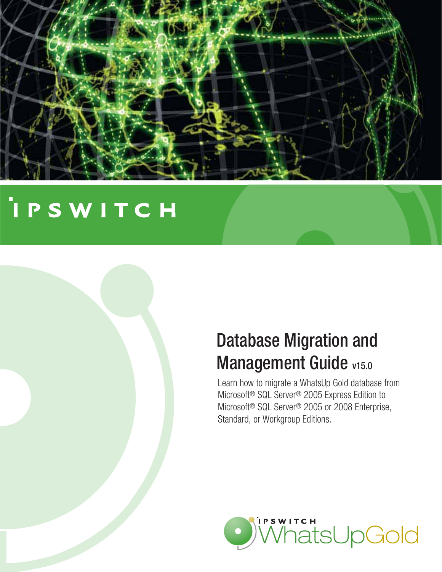

# **IPSWITCH**



Learn how to migrate a WhatsUp Gold database from Microsoft® SQL Server® 2005 Express Edition to Microsoft® SQL Server® 2005 or 2008 Enterprise, Standard, or Workgroup Editions.

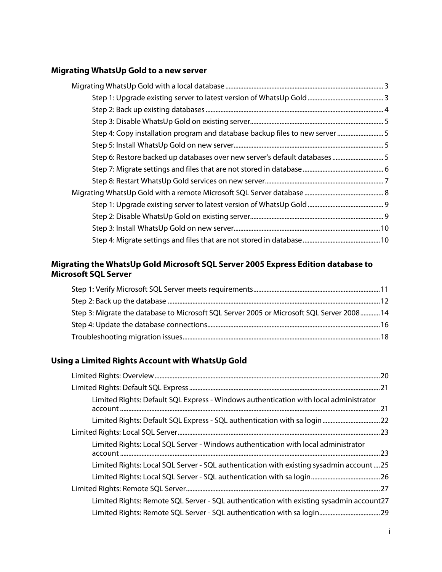#### **[Migrating WhatsUp Gold to a new server](#page-3-0)**

#### **[Migrating the WhatsUp Gold Microsoft SQL Server 2005 Express Edition database to](#page-11-0)  [Microsoft SQL Server](#page-11-0)**

| 14. Step 3: Migrate the database to Microsoft SQL Server 2005 or Microsoft SQL Server 2008 14 |  |
|-----------------------------------------------------------------------------------------------|--|
|                                                                                               |  |
|                                                                                               |  |

#### **[Using a Limited Rights Account with WhatsUp Gold](#page-20-0)**

| Limited Rights: Default SQL Express - Windows authentication with local administrator   |  |
|-----------------------------------------------------------------------------------------|--|
| Limited Rights: Default SQL Express - SQL authentication with sa login22                |  |
|                                                                                         |  |
| Limited Rights: Local SQL Server - Windows authentication with local administrator      |  |
| Limited Rights: Local SQL Server - SQL authentication with existing sysadmin account25  |  |
|                                                                                         |  |
|                                                                                         |  |
| Limited Rights: Remote SQL Server - SQL authentication with existing sysadmin account27 |  |
|                                                                                         |  |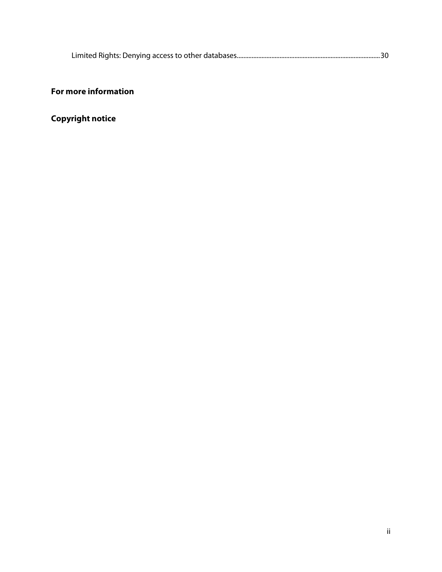|--|

#### **[For more information](#page-31-0)**

**[Copyright notice](#page-31-1)**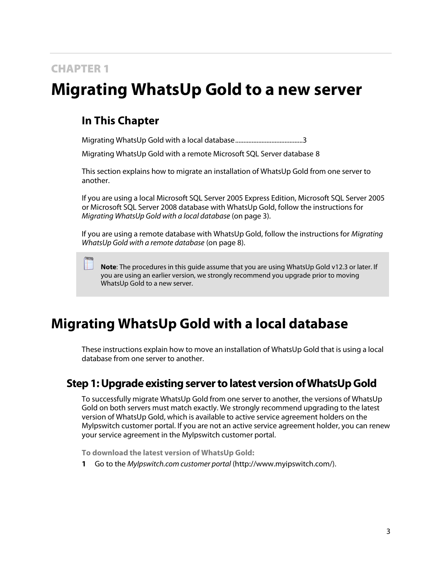### CHAPTER 1

## <span id="page-3-0"></span>**Migrating WhatsUp Gold to a new server**

### **In This Chapter**

[Migrating WhatsUp Gold with a local database .](#page-3-1)......................................[.. 3](#page-3-1)

[Migrating WhatsUp Gold with a remote Microsoft SQL Server database](#page-8-0) [8](#page-8-0)

This section explains how to migrate an installation of WhatsUp Gold from one server to another.

If you are using a local Microsoft SQL Server 2005 Express Edition, Microsoft SQL Server 2005 or Microsoft SQL Server 2008 database with WhatsUp Gold, follow the instructions for *Migrating WhatsUp Gold with a local database* (on page [3\)](#page-3-1).

If you are using a remote database with WhatsUp Gold, follow the instructions for *Migrating WhatsUp Gold with a remote database* (on page [8\)](#page-8-0).

**Note**: The procedures in this guide assume that you are using WhatsUp Gold v12.3 or later. If you are using an earlier version, we strongly recommend you upgrade prior to moving WhatsUp Gold to a new server.

### <span id="page-3-1"></span>**Migrating WhatsUp Gold with a local database**

These instructions explain how to move an installation of WhatsUp Gold that is using a local database from one server to another.

### <span id="page-3-2"></span>**Step 1: Upgrade existing server to latest version of WhatsUp Gold**

To successfully migrate WhatsUp Gold from one server to another, the versions of WhatsUp Gold on both servers must match exactly. We strongly recommend upgrading to the latest version of WhatsUp Gold, which is available to active service agreement holders on the MyIpswitch customer portal. If you are not an active service agreement holder, you can renew your service agreement in the MyIpswitch customer portal.

**To download the latest version of WhatsUp Gold:**

**1** Go to the *MyIpswitch.com customer portal* [\(http://www.myipswitch.com/\)](http://www.myipswitch.com/).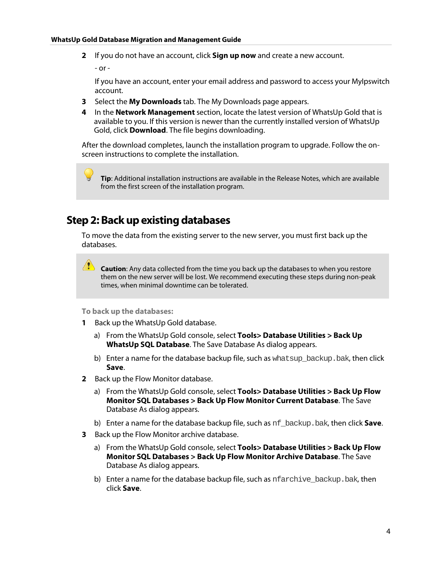**2** If you do not have an account, click **Sign up now** and create a new account.

- or -

If you have an account, enter your email address and password to access your MyIpswitch account.

- **3** Select the **My Downloads** tab. The My Downloads page appears.
- **4** In the **Network Management** section, locate the latest version of WhatsUp Gold that is available to you. If this version is newer than the currently installed version of WhatsUp Gold, click **Download**. The file begins downloading.

After the download completes, launch the installation program to upgrade. Follow the onscreen instructions to complete the installation.

**Tip**: Additional installation instructions are available in the Release Notes, which are available from the first screen of the installation program.

### <span id="page-4-0"></span>**Step 2: Back up existing databases**

To move the data from the existing server to the new server, you must first back up the databases.

**Caution**: Any data collected from the time you back up the databases to when you restore them on the new server will be lost. We recommend executing these steps during non-peak times, when minimal downtime can be tolerated.

**To back up the databases:**

- **1** Back up the WhatsUp Gold database.
	- a) From the WhatsUp Gold console, select **Tools> Database Utilities > Back Up WhatsUp SQL Database**. The Save Database As dialog appears.
	- b) Enter a name for the database backup file, such as what sup-backup. bak, then click **Save**.
- **2** Back up the Flow Monitor database.
	- a) From the WhatsUp Gold console, select **Tools> Database Utilities > Back Up Flow Monitor SQL Databases > Back Up Flow Monitor Current Database**. The Save Database As dialog appears.
	- b) Enter a name for the database backup file, such as nf\_backup.bak, then click **Save**.
- **3** Back up the Flow Monitor archive database.
	- a) From the WhatsUp Gold console, select **Tools> Database Utilities > Back Up Flow Monitor SQL Databases > Back Up Flow Monitor Archive Database**. The Save Database As dialog appears.
	- b) Enter a name for the database backup file, such as nfarchive\_backup.bak, then click **Save**.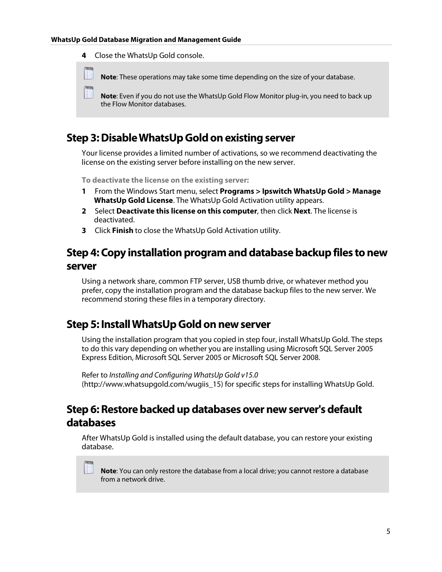**4** Close the WhatsUp Gold console.

**Annu** 

 $2000$ 

**Note**: These operations may take some time depending on the size of your database.

**Note**: Even if you do not use the WhatsUp Gold Flow Monitor plug-in, you need to back up the Flow Monitor databases.

### <span id="page-5-0"></span>**Step 3: Disable WhatsUp Gold on existing server**

Your license provides a limited number of activations, so we recommend deactivating the license on the existing server before installing on the new server.

**To deactivate the license on the existing server:**

- **1** From the Windows Start menu, select **Programs > Ipswitch WhatsUp Gold > Manage WhatsUp Gold License**. The WhatsUp Gold Activation utility appears.
- **2** Select **Deactivate this license on this computer**, then click **Next**. The license is deactivated.
- **3** Click **Finish** to close the WhatsUp Gold Activation utility.

### <span id="page-5-1"></span>**Step 4: Copy installation program and database backup files to new server**

Using a network share, common FTP server, USB thumb drive, or whatever method you prefer, copy the installation program and the database backup files to the new server. We recommend storing these files in a temporary directory.

#### <span id="page-5-2"></span>**Step 5: Install WhatsUp Gold on new server**

Using the installation program that you copied in step four, install WhatsUp Gold. The steps to do this vary depending on whether you are installing using Microsoft SQL Server 2005 Express Edition, Microsoft SQL Server 2005 or Microsoft SQL Server 2008.

Refer to *Installing and Configuring WhatsUp Gold v15.0* [\(http://www.whatsupgold.com/wugiis\\_15\)](http://www.whatsupgold.com/wugiis_15) for specific steps for installing WhatsUp Gold.

### <span id="page-5-3"></span>**Step 6: Restore backed up databases over new server's default databases**

After WhatsUp Gold is installed using the default database, you can restore your existing database.

**Note**: You can only restore the database from a local drive; you cannot restore a database from a network drive.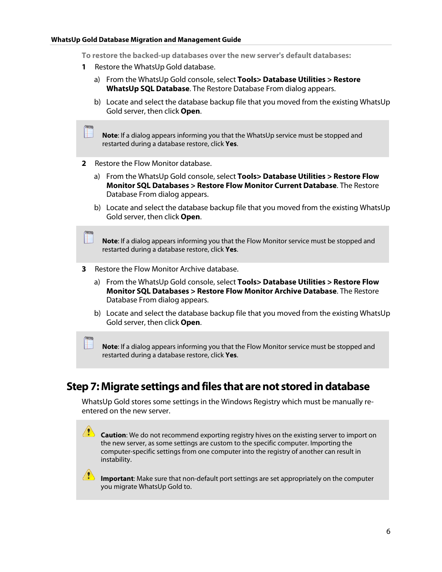**To restore the backed-up databases over the new server's default databases:**

- **1** Restore the WhatsUp Gold database.
	- a) From the WhatsUp Gold console, select **Tools> Database Utilities > Restore WhatsUp SQL Database**. The Restore Database From dialog appears.
	- b) Locate and select the database backup file that you moved from the existing WhatsUp Gold server, then click **Open**.

**Note**: If a dialog appears informing you that the WhatsUp service must be stopped and restarted during a database restore, click **Yes**.

**2** Restore the Flow Monitor database.

**COONE** 

**COOK** 

 $\sqrt{2}$ 

- a) From the WhatsUp Gold console, select **Tools> Database Utilities > Restore Flow Monitor SQL Databases > Restore Flow Monitor Current Database**. The Restore Database From dialog appears.
- b) Locate and select the database backup file that you moved from the existing WhatsUp Gold server, then click **Open**.

**Note**: If a dialog appears informing you that the Flow Monitor service must be stopped and restarted during a database restore, click **Yes**.

- **3** Restore the Flow Monitor Archive database.
	- a) From the WhatsUp Gold console, select **Tools> Database Utilities > Restore Flow Monitor SQL Databases > Restore Flow Monitor Archive Database**. The Restore Database From dialog appears.
	- b) Locate and select the database backup file that you moved from the existing WhatsUp Gold server, then click **Open**.

**Note**: If a dialog appears informing you that the Flow Monitor service must be stopped and restarted during a database restore, click **Yes**.

### <span id="page-6-0"></span>**Step 7: Migrate settings and files that are not stored in database**

WhatsUp Gold stores some settings in the Windows Registry which must be manually reentered on the new server.

 $\sqrt{?}$ **Caution**: We do not recommend exporting registry hives on the existing server to import on the new server, as some settings are custom to the specific computer. Importing the computer-specific settings from one computer into the registry of another can result in instability.

**Important**: Make sure that non-default port settings are set appropriately on the computer you migrate WhatsUp Gold to.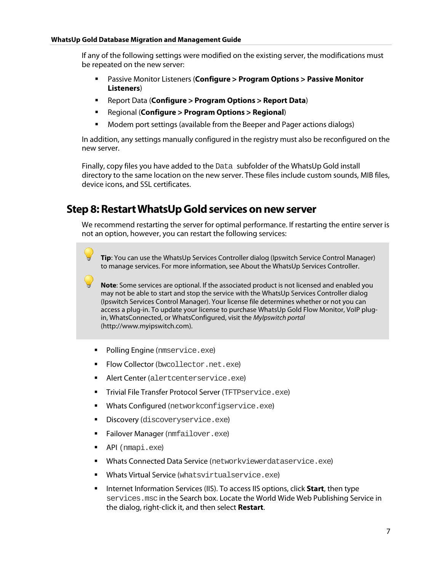If any of the following settings were modified on the existing server, the modifications must be repeated on the new server:

- Passive Monitor Listeners (**Configure > Program Options > Passive Monitor Listeners**)
- Report Data (**Configure > Program Options > Report Data**)
- Regional (**Configure > Program Options > Regional**)
- **Modem port settings (available from the Beeper and Pager actions dialogs)**

In addition, any settings manually configured in the registry must also be reconfigured on the new server.

Finally, copy files you have added to the Data subfolder of the WhatsUp Gold install directory to the same location on the new server. These files include custom sounds, MIB files, device icons, and SSL certificates.

### <span id="page-7-0"></span>**Step 8: Restart WhatsUp Gold services on new server**

We recommend restarting the server for optimal performance. If restarting the entire server is not an option, however, you can restart the following services:

**Tip**: You can use the WhatsUp Services Controller dialog (Ipswitch Service Control Manager) to manage services. For more information, see About the WhatsUp Services Controller.

**Note**: Some services are optional. If the associated product is not licensed and enabled you may not be able to start and stop the service with the WhatsUp Services Controller dialog (Ipswitch Services Control Manager). Your license file determines whether or not you can access a plug-in. To update your license to purchase WhatsUp Gold Flow Monitor, VoIP plugin, WhatsConnected, or WhatsConfigured, visit the *MyIpswitch portal* [\(http://www.myipswitch.com\)](http://www.myipswitch.com/).

- **Polling Engine** (nmservice.exe)
- Flow Collector (bwcollector.net.exe)
- **Alert Center** (alertcenterservice.exe)
- **Trivial File Transfer Protocol Server (TFTPservice.exe)**
- **Whats Configured** (networkconfigservice.exe)
- **Discovery (discoveryservice.exe)**
- **Failover Manager (nmfailover.exe)**
- API (nmapi.exe)
- Whats Connected Data Service (networkviewerdataservice.exe)
- **Whats Virtual Service** (whatsvirtualservice.exe)
- **Internet Information Services (IIS). To access IIS options, click Start, then type** services.mscin the Search box. Locate the World Wide Web Publishing Service in the dialog, right-click it, and then select **Restart**.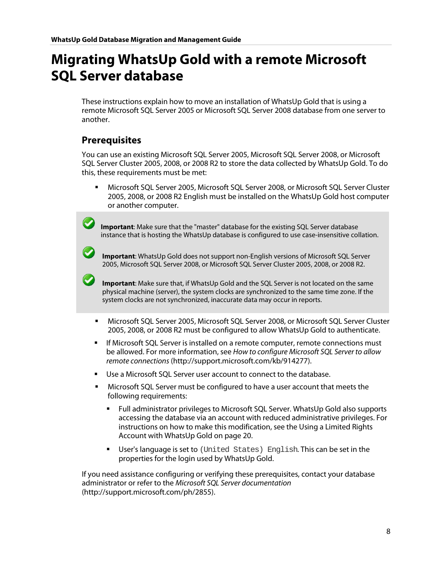### <span id="page-8-0"></span>**Migrating WhatsUp Gold with a remote Microsoft SQL Server database**

These instructions explain how to move an installation of WhatsUp Gold that is using a remote Microsoft SQL Server 2005 or Microsoft SQL Server 2008 database from one server to another.

#### **Prerequisites**

You can use an existing Microsoft SQL Server 2005, Microsoft SQL Server 2008, or Microsoft SQL Server Cluster 2005, 2008, or 2008 R2 to store the data collected by WhatsUp Gold. To do this, these requirements must be met:

 Microsoft SQL Server 2005, Microsoft SQL Server 2008, or Microsoft SQL Server Cluster 2005, 2008, or 2008 R2 English must be installed on the WhatsUp Gold host computer or another computer.

**Important**: Make sure that the "master" database for the existing SQL Server database instance that is hosting the WhatsUp database is configured to use case-insensitive collation.

**Important**: WhatsUp Gold does not support non-English versions of Microsoft SQL Server 2005, Microsoft SQL Server 2008, or Microsoft SQL Server Cluster 2005, 2008, or 2008 R2.

**Important**: Make sure that, if WhatsUp Gold and the SQL Server is not located on the same physical machine (server), the system clocks are synchronized to the same time zone. If the system clocks are not synchronized, inaccurate data may occur in reports.

- Microsoft SQL Server 2005, Microsoft SQL Server 2008, or Microsoft SQL Server Cluster 2005, 2008, or 2008 R2 must be configured to allow WhatsUp Gold to authenticate.
- **If Microsoft SQL Server is installed on a remote computer, remote connections must** be allowed. For more information, see *How to configure Microsoft SQL Server to allow remote connections* [\(http://support.microsoft.com/kb/914277\)](http://support.microsoft.com/kb/914277).
- Use a Microsoft SQL Server user account to connect to the database.
- Microsoft SQL Server must be configured to have a user account that meets the following requirements:
	- Full administrator privileges to Microsoft SQL Server. WhatsUp Gold also supports accessing the database via an account with reduced administrative privileges. For instructions on how to make this modification, see th[e Using a Limited Rights](#page-20-0)  [Account with WhatsUp Gold](#page-20-0) on pag[e 20.](#page-20-0)
	- User's language is set to (United States) English. This can be set in the properties for the login used by WhatsUp Gold.

If you need assistance configuring or verifying these prerequisites, contact your database administrator or refer to the *Microsoft SQL Server documentation* [\(http://support.microsoft.com/ph/2855\)](http://support.microsoft.com/ph/2855).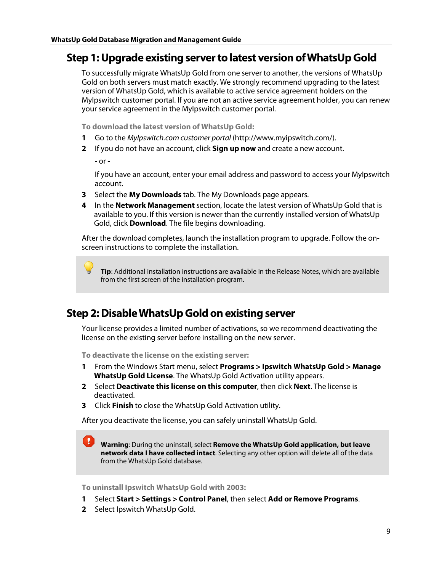#### <span id="page-9-0"></span>**Step 1: Upgrade existing server to latest version of WhatsUp Gold**

To successfully migrate WhatsUp Gold from one server to another, the versions of WhatsUp Gold on both servers must match exactly. We strongly recommend upgrading to the latest version of WhatsUp Gold, which is available to active service agreement holders on the MyIpswitch customer portal. If you are not an active service agreement holder, you can renew your service agreement in the MyIpswitch customer portal.

**To download the latest version of WhatsUp Gold:**

- **1** Go to the *MyIpswitch.com customer portal* [\(http://www.myipswitch.com/\)](http://www.myipswitch.com/).
- **2** If you do not have an account, click **Sign up now** and create a new account.

- or -

If you have an account, enter your email address and password to access your MyIpswitch account.

- **3** Select the **My Downloads** tab. The My Downloads page appears.
- **4** In the **Network Management** section, locate the latest version of WhatsUp Gold that is available to you. If this version is newer than the currently installed version of WhatsUp Gold, click **Download**. The file begins downloading.

After the download completes, launch the installation program to upgrade. Follow the onscreen instructions to complete the installation.

**Tip**: Additional installation instructions are available in the Release Notes, which are available from the first screen of the installation program.

### <span id="page-9-1"></span>**Step 2: Disable WhatsUp Gold on existing server**

Your license provides a limited number of activations, so we recommend deactivating the license on the existing server before installing on the new server.

**To deactivate the license on the existing server:**

- **1** From the Windows Start menu, select **Programs > Ipswitch WhatsUp Gold > Manage WhatsUp Gold License**. The WhatsUp Gold Activation utility appears.
- **2** Select **Deactivate this license on this computer**, then click **Next**. The license is deactivated.
- **3** Click **Finish** to close the WhatsUp Gold Activation utility.

After you deactivate the license, you can safely uninstall WhatsUp Gold.

**Warning**: During the uninstall, select **Remove the WhatsUp Gold application, but leave network data I have collected intact**. Selecting any other option will delete all of the data from the WhatsUp Gold database.

**To uninstall Ipswitch WhatsUp Gold with 2003:**

- **1** Select **Start > Settings > Control Panel**, then select **Add or Remove Programs**.
- **2** Select Ipswitch WhatsUp Gold.

 $\blacksquare$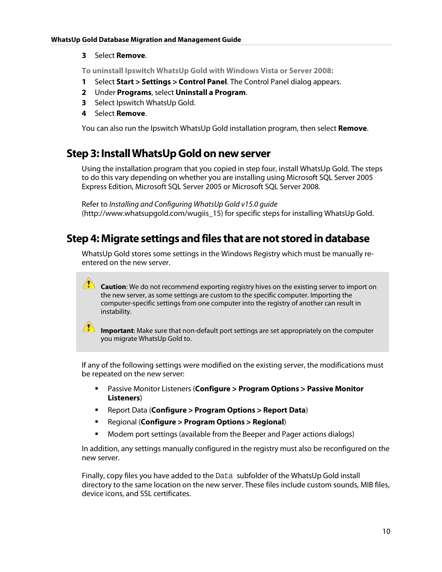#### **3** Select **Remove**.

**To uninstall Ipswitch WhatsUp Gold with Windows Vista or Server 2008:**

- **1** Select **Start > Settings > Control Panel**. The Control Panel dialog appears.
- **2** Under **Programs**, select **Uninstall a Program**.
- **3** Select Ipswitch WhatsUp Gold.
- **4** Select **Remove**.

You can also run the Ipswitch WhatsUp Gold installation program, then select **Remove**.

### <span id="page-10-0"></span>**Step 3: Install WhatsUp Gold on new server**

Using the installation program that you copied in step four, install WhatsUp Gold. The steps to do this vary depending on whether you are installing using Microsoft SQL Server 2005 Express Edition, Microsoft SQL Server 2005 or Microsoft SQL Server 2008.

Refer to *Installing and Configuring WhatsUp Gold v15.0 guide* [\(http://www.whatsupgold.com/wugiis\\_15\)](http://www.whatsupgold.com/wugiis_15) for specific steps for installing WhatsUp Gold.

### <span id="page-10-1"></span>**Step 4: Migrate settings and files that are not stored in database**

WhatsUp Gold stores some settings in the Windows Registry which must be manually reentered on the new server.

 $\sqrt{2}$ **Caution**: We do not recommend exporting registry hives on the existing server to import on the new server, as some settings are custom to the specific computer. Importing the computer-specific settings from one computer into the registry of another can result in instability.

**IM** Important: Make sure that non-default port settings are set appropriately on the computer you migrate WhatsUp Gold to.

If any of the following settings were modified on the existing server, the modifications must be repeated on the new server:

- Passive Monitor Listeners (**Configure > Program Options > Passive Monitor Listeners**)
- Report Data (**Configure > Program Options > Report Data**)
- Regional (**Configure > Program Options > Regional**)
- **Modem port settings (available from the Beeper and Pager actions dialogs)**

In addition, any settings manually configured in the registry must also be reconfigured on the new server.

Finally, copy files you have added to the Data subfolder of the WhatsUp Gold install directory to the same location on the new server. These files include custom sounds, MIB files, device icons, and SSL certificates.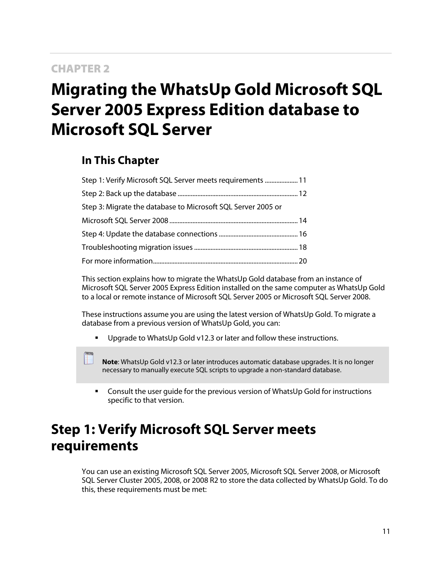#### CHAPTER 2

# <span id="page-11-0"></span>**Migrating the WhatsUp Gold Microsoft SQL Server 2005 Express Edition database to Microsoft SQL Server**

### **In This Chapter**

| Step 1: Verify Microsoft SQL Server meets requirements  11   |  |
|--------------------------------------------------------------|--|
|                                                              |  |
| Step 3: Migrate the database to Microsoft SQL Server 2005 or |  |
|                                                              |  |
|                                                              |  |
|                                                              |  |
|                                                              |  |

This section explains how to migrate the WhatsUp Gold database from an instance of Microsoft SQL Server 2005 Express Edition installed on the same computer as WhatsUp Gold to a local or remote instance of Microsoft SQL Server 2005 or Microsoft SQL Server 2008.

These instructions assume you are using the latest version of WhatsUp Gold. To migrate a database from a previous version of WhatsUp Gold, you can:

**Upgrade to WhatsUp Gold v12.3 or later and follow these instructions.** 

**Note**: WhatsUp Gold v12.3 or later introduces automatic database upgrades. It is no longer necessary to manually execute SQL scripts to upgrade a non-standard database.

 Consult the user guide for the previous version of WhatsUp Gold for instructions specific to that version.

### <span id="page-11-1"></span>**Step 1: Verify Microsoft SQL Server meets requirements**

You can use an existing Microsoft SQL Server 2005, Microsoft SQL Server 2008, or Microsoft SQL Server Cluster 2005, 2008, or 2008 R2 to store the data collected by WhatsUp Gold. To do this, these requirements must be met: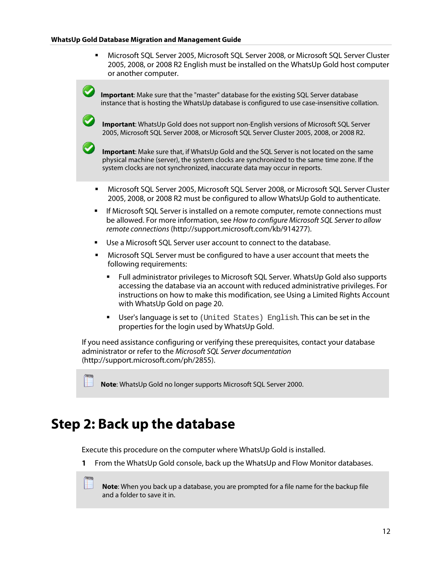Microsoft SQL Server 2005, Microsoft SQL Server 2008, or Microsoft SQL Server Cluster 2005, 2008, or 2008 R2 English must be installed on the WhatsUp Gold host computer or another computer.

**Important**: Make sure that the "master" database for the existing SQL Server database instance that is hosting the WhatsUp database is configured to use case-insensitive collation.

**Important**: WhatsUp Gold does not support non-English versions of Microsoft SQL Server 2005, Microsoft SQL Server 2008, or Microsoft SQL Server Cluster 2005, 2008, or 2008 R2.

**Important**: Make sure that, if WhatsUp Gold and the SQL Server is not located on the same physical machine (server), the system clocks are synchronized to the same time zone. If the system clocks are not synchronized, inaccurate data may occur in reports.

- Microsoft SQL Server 2005, Microsoft SQL Server 2008, or Microsoft SQL Server Cluster 2005, 2008, or 2008 R2 must be configured to allow WhatsUp Gold to authenticate.
- If Microsoft SQL Server is installed on a remote computer, remote connections must be allowed. For more information, see *How to configure Microsoft SQL Server to allow remote connections* [\(http://support.microsoft.com/kb/914277\)](http://support.microsoft.com/kb/914277).
- Use a Microsoft SQL Server user account to connect to the database.
- Microsoft SQL Server must be configured to have a user account that meets the following requirements:
	- Full administrator privileges to Microsoft SQL Server. WhatsUp Gold also supports accessing the database via an account with reduced administrative privileges. For instructions on how to make this modification, see [Using a Limited Rights Account](#page-20-0)  [with WhatsUp Gold](#page-20-0) on page [20.](#page-20-0)
	- User's language is set to (United States) English. This can be set in the properties for the login used by WhatsUp Gold.

If you need assistance configuring or verifying these prerequisites, contact your database administrator or refer to the *Microsoft SQL Server documentation* [\(http://support.microsoft.com/ph/2855\)](http://support.microsoft.com/ph/2855).

**Note**: WhatsUp Gold no longer supports Microsoft SQL Server 2000.

### <span id="page-12-0"></span>**Step 2: Back up the database**

Execute this procedure on the computer where WhatsUp Gold is installed.

**1** From the WhatsUp Gold console, back up the WhatsUp and Flow Monitor databases.

**Note**: When you back up a database, you are prompted for a file name for the backup file and a folder to save it in.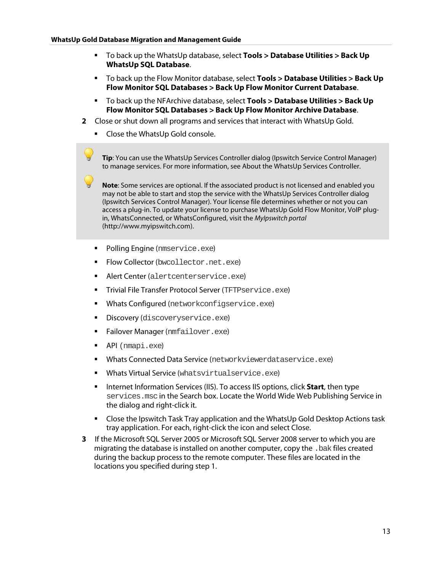- To back up the WhatsUp database, select **Tools > Database Utilities > Back Up WhatsUp SQL Database**.
- To back up the Flow Monitor database, select **Tools > Database Utilities > Back Up Flow Monitor SQL Databases > Back Up Flow Monitor Current Database**.
- To back up the NFArchive database, select **Tools > Database Utilities > Back Up Flow Monitor SQL Databases > Back Up Flow Monitor Archive Database**.
- **2** Close or shut down all programs and services that interact with WhatsUp Gold.
	- **Close the WhatsUp Gold console.**

**Tip**: You can use the WhatsUp Services Controller dialog (Ipswitch Service Control Manager) to manage services. For more information, see About the WhatsUp Services Controller.

**Note**: Some services are optional. If the associated product is not licensed and enabled you may not be able to start and stop the service with the WhatsUp Services Controller dialog (Ipswitch Services Control Manager). Your license file determines whether or not you can access a plug-in. To update your license to purchase WhatsUp Gold Flow Monitor, VoIP plugin, WhatsConnected, or WhatsConfigured, visit the *MyIpswitch portal* [\(http://www.myipswitch.com\)](http://www.myipswitch.com/).

- **Polling Engine (nmservice.exe)**
- Flow Collector (bwcollector.net.exe)
- **Alert Center** (alertcenterservice.exe)
- **Trivial File Transfer Protocol Server (TFTPservice.exe)**
- **Whats Configured** (networkconfigservice.exe)
- **Discovery (discoveryservice.exe)**
- **Failover Manager (nmfailover.exe)**
- **API** (nmapi.exe)
- **Whats Connected Data Service** (networkviewerdataservice.exe)
- **Whats Virtual Service (whatsvirtualservice.exe)**
- **Internet Information Services (IIS). To access IIS options, click Start, then type** services.mscin the Search box. Locate the World Wide Web Publishing Service in the dialog and right-click it.
- Close the Ipswitch Task Tray application and the WhatsUp Gold Desktop Actions task tray application. For each, right-click the icon and select Close.
- **3** If the Microsoft SQL Server 2005 or Microsoft SQL Server 2008 server to which you are migrating the database is installed on another computer, copy the .bak files created during the backup process to the remote computer. These files are located in the locations you specified during step 1.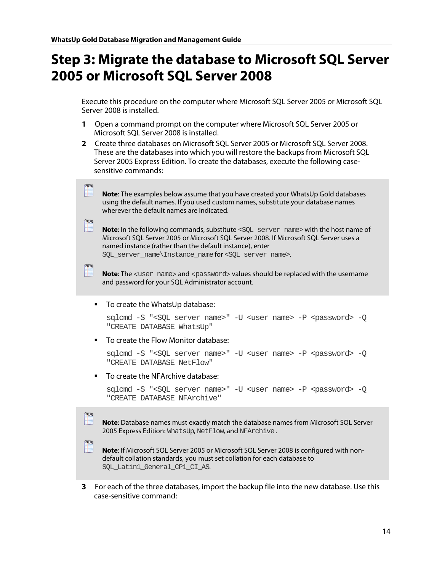**COON** 

 $m<sub>2</sub>$ 

**COON** 

### <span id="page-14-0"></span>**Step 3: Migrate the database to Microsoft SQL Server 2005 or Microsoft SQL Server 2008**

Execute this procedure on the computer where Microsoft SQL Server 2005 or Microsoft SQL Server 2008 is installed.

- **1** Open a command prompt on the computer where Microsoft SQL Server 2005 or Microsoft SQL Server 2008 is installed.
- **2** Create three databases on Microsoft SQL Server 2005 or Microsoft SQL Server 2008. These are the databases into which you will restore the backups from Microsoft SQL Server 2005 Express Edition. To create the databases, execute the following casesensitive commands:

| Note: The examples below assume that you have created your WhatsUp Gold databases |  |
|-----------------------------------------------------------------------------------|--|
| using the default names. If you used custom names, substitute your database names |  |
| wherever the default names are indicated.                                         |  |

**Note:** In the following commands, substitute <SQL server name> with the host name of Microsoft SQL Server 2005 or Microsoft SQL Server 2008. If Microsoft SQL Server uses a named instance (rather than the default instance), enter

SQL server name\Instance name for <SQL server name>.

**Note:** The <user name> and <password> values should be replaced with the username and password for your SQL Administrator account.

■ To create the WhatsUp database:

```
sqlcmd -S "<SQL server name>" -U <user name> -P <password> -Q 
"CREATE DATABASE WhatsUp"
```
**To create the Flow Monitor database:** 

```
sqlcmd -S "<SQL server name>" -U <user name> -P <password> -0
"CREATE DATABASE NetFlow"
```
To create the NFArchive database:

```
sqlcmd -S "<SQL server name>" -U <user name> -P <password> -Q
"CREATE DATABASE NFArchive"
```
**Note**: Database names must exactly match the database names from Microsoft SQL Server 2005 Express Edition: WhatsUp, NetFlow, and NFArchive.

**Note**: If Microsoft SQL Server 2005 or Microsoft SQL Server 2008 is configured with nondefault collation standards, you must set collation for each database to SQL Latin1 General CP1 CI AS.

**3** For each of the three databases, import the backup file into the new database. Use this case-sensitive command: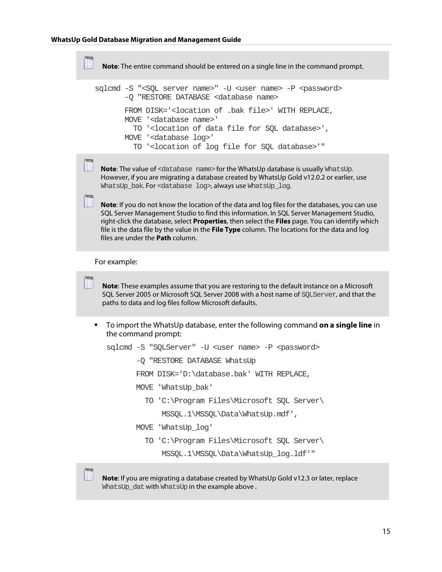```
Note: The entire command should be entered on a single line in the command prompt.
sqlcmd -S "<SQL server name>" -U <user name> -P <password>
          -Q "RESTORE DATABASE <database name>
         FROM DISK='<location of .bak file>' WITH REPLACE,
         MOVE '<database name>'
            TO '<location of data file for SQL database>',
         MOVE '<database log>'
            TO '<location of log file for SQL database>'"
 Note: The value of <database name> for the WhatsUp database is usually WhatsUp.
 However, if you are migrating a database created by WhatsUp Gold v12.0.2 or earlier, use 
 WhatsUp bak. For <database log>, always use WhatsUp log.
 Note: If you do not know the location of the data and log files for the databases, you can use 
 SQL Server Management Studio to find this information. In SQL Server Management Studio, 
 right-click the database, select Properties, then select the Files page. You can identify which 
 file is the data file by the value in the File Type column. The locations for the data and log
```
For example:

 $2000$ 

files are under the **Path** column.

**Note**: These examples assume that you are restoring to the default instance on a Microsoft SQL Server 2005 or Microsoft SQL Server 2008 with a host name of SQLServer, and that the paths to data and log files follow Microsoft defaults.

 To import the WhatsUp database, enter the following command **on a single line** in the command prompt:

```
sqlcmd -S "SQLServer" -U <user name> -P <password>
        -Q "RESTORE DATABASE WhatsUp
        FROM DISK='D:\database.bak' WITH REPLACE,
        MOVE 'WhatsUp_bak' 
          TO 'C:\Program Files\Microsoft SQL Server\
              MSSQL.1\MSSQL\Data\WhatsUp.mdf',
        MOVE 'WhatsUp_log'
          TO 'C:\Program Files\Microsoft SQL Server\
              MSSQL.1\MSSQL\Data\WhatsUp_log.ldf'"
```
**Note**: If you are migrating a database created by WhatsUp Gold v12.3 or later, replace WhatsUp\_dat with WhatsUp in the example above.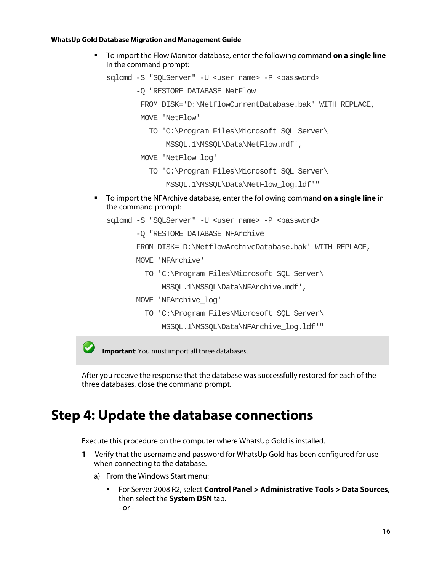To import the Flow Monitor database, enter the following command **on a single line** in the command prompt:

```
sqlcmd -S "SQLServer" -U <user name> -P <password>
```
- -Q "RESTORE DATABASE NetFlow
	- FROM DISK='D:\NetflowCurrentDatabase.bak' WITH REPLACE,
	- MOVE 'NetFlow'
		- TO 'C:\Program Files\Microsoft SQL Server\

MSSQL.1\MSSQL\Data\NetFlow.mdf',

- MOVE 'NetFlow\_log'
	- TO 'C:\Program Files\Microsoft SQL Server\

```
 MSSQL.1\MSSQL\Data\NetFlow_log.ldf'"
```
 To import the NFArchive database, enter the following command **on a single line** in the command prompt:

```
sqlcmd -S "SQLServer" -U <user name> -P <password>
```
-Q "RESTORE DATABASE NFArchive

```
 FROM DISK='D:\NetflowArchiveDatabase.bak' WITH REPLACE,
```
- MOVE 'NFArchive'
	- TO 'C:\Program Files\Microsoft SQL Server\ MSSQL.1\MSSQL\Data\NFArchive.mdf',
- MOVE 'NFArchive\_log'
	- TO 'C:\Program Files\Microsoft SQL Server\ MSSQL.1\MSSQL\Data\NFArchive\_log.ldf'"

**Important**: You must import all three databases.

After you receive the response that the database was successfully restored for each of the three databases, close the command prompt.

### <span id="page-16-0"></span>**Step 4: Update the database connections**

Execute this procedure on the computer where WhatsUp Gold is installed.

- **1** Verify that the username and password for WhatsUp Gold has been configured for use when connecting to the database.
	- a) From the Windows Start menu:
		- For Server 2008 R2, select **Control Panel > Administrative Tools > Data Sources**, then select the **System DSN** tab. - or -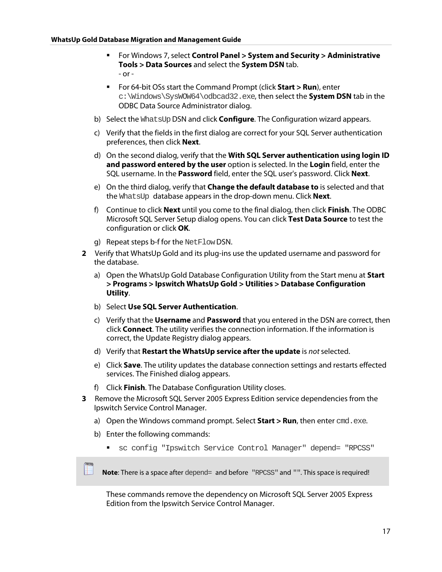- For Windows 7, select **Control Panel > System and Security > Administrative Tools > Data Sources** and select the **System DSN** tab. - or -
- For 64-bit OSs start the Command Prompt (click **Start > Run**), enter c:\Windows\SysWOW64\odbcad32.exe, then select the **System DSN** tab in the ODBC Data Source Administrator dialog.
- b) Select the WhatsUp DSN and click **Configure**. The Configuration wizard appears.
- c) Verify that the fields in the first dialog are correct for your SQL Server authentication preferences, then click **Next**.
- d) On the second dialog, verify that the **With SQL Server authentication using login ID and password entered by the user** option is selected. In the **Login** field, enter the SQL username. In the **Password** field, enter the SQL user's password. Click **Next**.
- e) On the third dialog, verify that **Change the default database to** is selected and that the WhatsUp database appears in the drop-down menu. Click **Next**.
- f) Continue to click **Next** until you come to the final dialog, then click **Finish**. The ODBC Microsoft SQL Server Setup dialog opens. You can click **Test Data Source** to test the configuration or click **OK**.
- g) Repeat steps b-f for the NetFlowDSN.
- **2** Verify that WhatsUp Gold and its plug-ins use the updated username and password for the database.
	- a) Open the WhatsUp Gold Database Configuration Utility from the Start menu at **Start > Programs > Ipswitch WhatsUp Gold > Utilities > Database Configuration Utility**.
	- b) Select **Use SQL Server Authentication**.
	- c) Verify that the **Username** and **Password** that you entered in the DSN are correct, then click **Connect**. The utility verifies the connection information. If the information is correct, the Update Registry dialog appears.
	- d) Verify that **Restart the WhatsUp service after the update** is *not* selected.
	- e) Click **Save**. The utility updates the database connection settings and restarts effected services. The Finished dialog appears.
	- f) Click **Finish**. The Database Configuration Utility closes.
- **3** Remove the Microsoft SQL Server 2005 Express Edition service dependencies from the Ipswitch Service Control Manager.
	- a) Open the Windows command prompt. Select **Start > Run**, then enter cmd.exe.
	- b) Enter the following commands:
		- sc config "Ipswitch Service Control Manager" depend= "RPCSS"

Note: There is a space after depend= and before "RPCSS" and "". This space is required!

These commands remove the dependency on Microsoft SQL Server 2005 Express Edition from the Ipswitch Service Control Manager.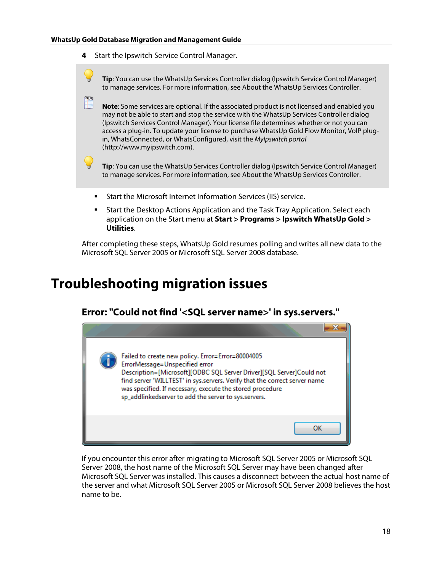**4** Start the Ipswitch Service Control Manager.



 Start the Desktop Actions Application and the Task Tray Application. Select each application on the Start menu at **Start > Programs > Ipswitch WhatsUp Gold > Utilities**.

After completing these steps, WhatsUp Gold resumes polling and writes all new data to the Microsoft SQL Server 2005 or Microsoft SQL Server 2008 database.

### <span id="page-18-0"></span>**Troubleshooting migration issues**



If you encounter this error after migrating to Microsoft SQL Server 2005 or Microsoft SQL Server 2008, the host name of the Microsoft SQL Server may have been changed after Microsoft SQL Server was installed. This causes a disconnect between the actual host name of the server and what Microsoft SQL Server 2005 or Microsoft SQL Server 2008 believes the host name to be.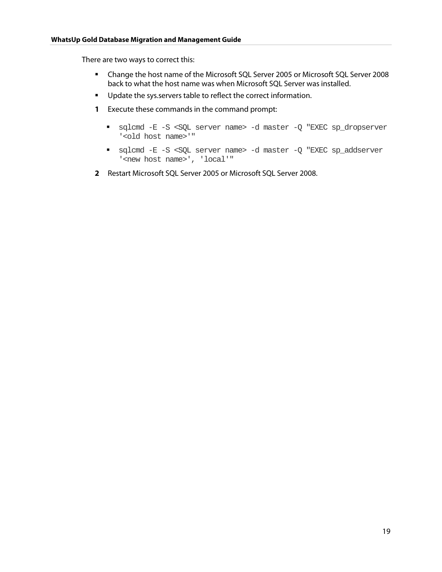There are two ways to correct this:

- Change the host name of the Microsoft SQL Server 2005 or Microsoft SQL Server 2008 back to what the host name was when Microsoft SQL Server was installed.
- **Update the sys.servers table to reflect the correct information.**
- **1** Execute these commands in the command prompt:
	- sqlcmd -E -S <SQL server name> -d master -Q "EXEC sp\_dropserver '<old host name>'"
	- sqlcmd -E -S <SQL server name> -d master -Q "EXEC sp\_addserver '<new host name>', 'local'"
- **2** Restart Microsoft SQL Server 2005 or Microsoft SQL Server 2008.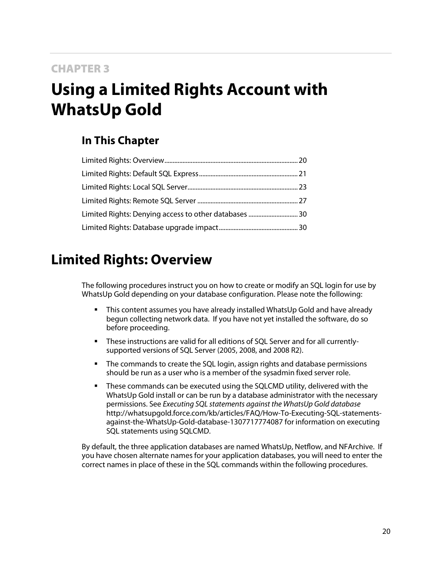### <span id="page-20-2"></span>CHAPTER 3

# <span id="page-20-0"></span>**Using a Limited Rights Account with WhatsUp Gold**

### **In This Chapter**

| Limited Rights: Denying access to other databases  30 |  |
|-------------------------------------------------------|--|
|                                                       |  |

### <span id="page-20-1"></span>**Limited Rights: Overview**

The following procedures instruct you on how to create or modify an SQL login for use by WhatsUp Gold depending on your database configuration. Please note the following:

- This content assumes you have already installed WhatsUp Gold and have already begun collecting network data. If you have not yet installed the software, do so before proceeding.
- These instructions are valid for all editions of SQL Server and for all currentlysupported versions of SQL Server (2005, 2008, and 2008 R2).
- **The commands to create the SQL login, assign rights and database permissions** should be run as a user who is a member of the sysadmin fixed server role.
- These commands can be executed using the SQLCMD utility, delivered with the WhatsUp Gold install or can be run by a database administrator with the necessary permissions. See *Executing SQL statements against the WhatsUp Gold database* [http://whatsupgold.force.com/kb/articles/FAQ/How-To-Executing-SQL-statements](http://whatsupgold.force.com/kb/articles/FAQ/How-To-Executing-SQL-statements-against-the-WhatsUp-Gold-database-1307717774087)[against-the-WhatsUp-Gold-database-1307717774087](http://whatsupgold.force.com/kb/articles/FAQ/How-To-Executing-SQL-statements-against-the-WhatsUp-Gold-database-1307717774087) for information on executing SQL statements using SQLCMD.

By default, the three application databases are named WhatsUp, Netflow, and NFArchive. If you have chosen alternate names for your application databases, you will need to enter the correct names in place of these in the SQL commands within the following procedures.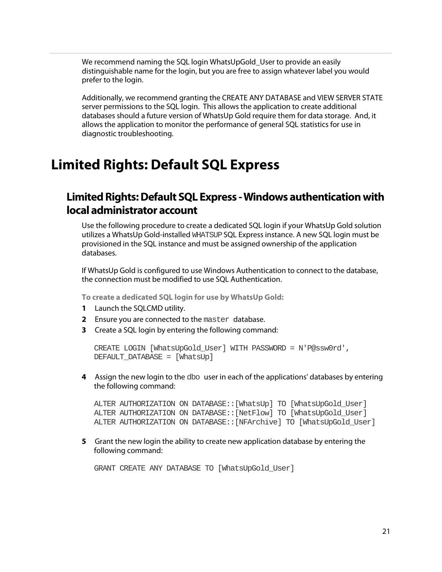We recommend naming the SQL login WhatsUpGold User to provide an easily distinguishable name for the login, but you are free to assign whatever label you would prefer to the login.

Additionally, we recommend granting the CREATE ANY DATABASE and VIEW SERVER STATE server permissions to the SQL login. This allows the application to create additional databases should a future version of WhatsUp Gold require them for data storage. And, it allows the application to monitor the performance of general SQL statistics for use in diagnostic troubleshooting.

### <span id="page-21-0"></span>**Limited Rights: Default SQL Express**

### <span id="page-21-1"></span>**Limited Rights: Default SQL Express - Windows authentication with local administrator account**

Use the following procedure to create a dedicated SQL login if your WhatsUp Gold solution utilizes a WhatsUp Gold-installed WHATSUPSQL Express instance. A new SQL login must be provisioned in the SQL instance and must be assigned ownership of the application databases.

If WhatsUp Gold is configured to use Windows Authentication to connect to the database, the connection must be modified to use SQL Authentication.

**To create a dedicated SQL login for use by WhatsUp Gold:**

- **1** Launch the SQLCMD utility.
- **2** Ensure you are connected to the master database.
- **3** Create a SQL login by entering the following command:

```
CREATE LOGIN [WhatsUpGold_User] WITH PASSWORD = N'P@ssw0rd', 
DEFAULT_DATABASE = [WhatsUp]
```
**4** Assign the new login to the dbo user in each of the applications' databases by entering the following command:

ALTER AUTHORIZATION ON DATABASE::[WhatsUp] TO [WhatsUpGold\_User] ALTER AUTHORIZATION ON DATABASE::[NetFlow] TO [WhatsUpGold\_User] ALTER AUTHORIZATION ON DATABASE::[NFArchive] TO [WhatsUpGold\_User]

**5** Grant the new login the ability to create new application database by entering the following command:

GRANT CREATE ANY DATABASE TO [WhatsUpGold\_User]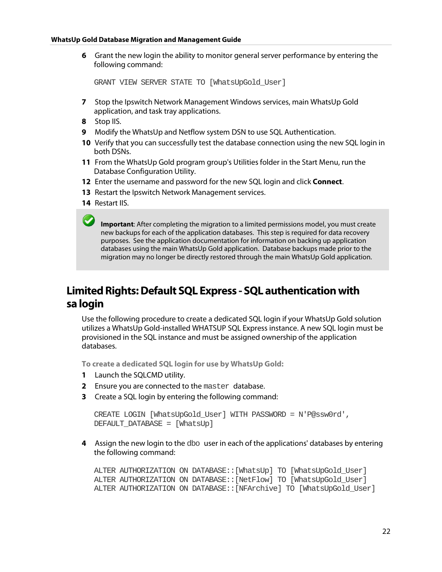#### **WhatsUp Gold Database Migration and Management Guide**

**6** Grant the new login the ability to monitor general server performance by entering the following command:

GRANT VIEW SERVER STATE TO [WhatsUpGold\_User]

- **7** Stop the Ipswitch Network Management Windows services, main WhatsUp Gold application, and task tray applications.
- **8** Stop IIS.
- **9** Modify the WhatsUp and Netflow system DSN to use SQL Authentication.
- **10** Verify that you can successfully test the database connection using the new SQL login in both DSNs.
- **11** From the WhatsUp Gold program group's Utilities folder in the Start Menu, run the Database Configuration Utility.
- **12** Enter the username and password for the new SQL login and click **Connect**.
- **13** Restart the Ipswitch Network Management services.
- **14** Restart IIS.

**Important**: After completing the migration to a limited permissions model, you must create new backups for each of the application databases. This step is required for data recovery purposes. See the application documentation for information on backing up application databases using the main WhatsUp Gold application. Database backups made prior to the migration may no longer be directly restored through the main WhatsUp Gold application.

### <span id="page-22-0"></span>**Limited Rights: Default SQL Express - SQL authentication with sa login**

Use the following procedure to create a dedicated SQL login if your WhatsUp Gold solution utilizes a WhatsUp Gold-installed WHATSUP SQL Express instance. A new SQL login must be provisioned in the SQL instance and must be assigned ownership of the application databases.

**To create a dedicated SQL login for use by WhatsUp Gold:**

- **1** Launch the SQLCMD utility.
- **2** Ensure you are connected to the master database.
- **3** Create a SQL login by entering the following command:

```
CREATE LOGIN [WhatsUpGold_User] WITH PASSWORD = N'P@ssw0rd', 
DEFAULT_DATABASE = [WhatsUp]
```
**4** Assign the new login to the dbo user in each of the applications' databases by entering the following command:

```
ALTER AUTHORIZATION ON DATABASE::[WhatsUp] TO [WhatsUpGold_User]
ALTER AUTHORIZATION ON DATABASE::[NetFlow] TO [WhatsUpGold_User]
ALTER AUTHORIZATION ON DATABASE::[NFArchive] TO [WhatsUpGold_User]
```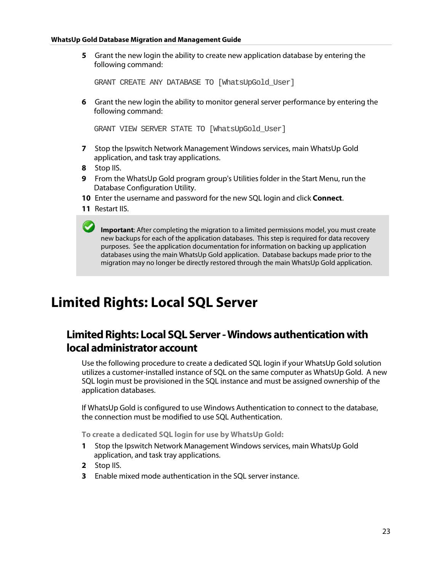**5** Grant the new login the ability to create new application database by entering the following command:

GRANT CREATE ANY DATABASE TO [WhatsUpGold\_User]

**6** Grant the new login the ability to monitor general server performance by entering the following command:

GRANT VIEW SERVER STATE TO [WhatsUpGold\_User]

- **7** Stop the Ipswitch Network Management Windows services, main WhatsUp Gold application, and task tray applications.
- **8** Stop IIS.
- **9** From the WhatsUp Gold program group's Utilities folder in the Start Menu, run the Database Configuration Utility.
- **10** Enter the username and password for the new SQL login and click **Connect**.
- **11** Restart IIS.

**Important**: After completing the migration to a limited permissions model, you must create new backups for each of the application databases. This step is required for data recovery purposes. See the application documentation for information on backing up application databases using the main WhatsUp Gold application. Database backups made prior to the migration may no longer be directly restored through the main WhatsUp Gold application.

### <span id="page-23-0"></span>**Limited Rights: Local SQL Server**

### <span id="page-23-1"></span>**Limited Rights: Local SQL Server - Windows authentication with local administrator account**

Use the following procedure to create a dedicated SQL login if your WhatsUp Gold solution utilizes a customer-installed instance of SQL on the same computer as WhatsUp Gold. A new SQL login must be provisioned in the SQL instance and must be assigned ownership of the application databases.

If WhatsUp Gold is configured to use Windows Authentication to connect to the database, the connection must be modified to use SQL Authentication.

**To create a dedicated SQL login for use by WhatsUp Gold:**

- **1** Stop the Ipswitch Network Management Windows services, main WhatsUp Gold application, and task tray applications.
- **2** Stop IIS.
- **3** Enable mixed mode authentication in the SQL server instance.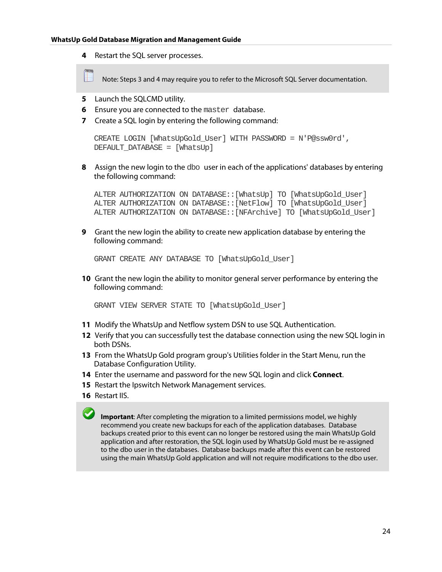**4** Restart the SQL server processes.

Note: Steps 3 and 4 may require you to refer to the Microsoft SQL Server documentation.

- **5** Launch the SQLCMD utility.
- **6** Ensure you are connected to the master database.
- **7** Create a SQL login by entering the following command:

```
CREATE LOGIN [WhatsUpGold_User] WITH PASSWORD = N'P@ssw0rd', 
DEFAULT_DATABASE = [WhatsUp]
```
**8** Assign the new login to the dbo user in each of the applications' databases by entering the following command:

ALTER AUTHORIZATION ON DATABASE::[WhatsUp] TO [WhatsUpGold\_User] ALTER AUTHORIZATION ON DATABASE::[NetFlow] TO [WhatsUpGold\_User] ALTER AUTHORIZATION ON DATABASE::[NFArchive] TO [WhatsUpGold\_User]

**9** Grant the new login the ability to create new application database by entering the following command:

GRANT CREATE ANY DATABASE TO [WhatsUpGold\_User]

**10** Grant the new login the ability to monitor general server performance by entering the following command:

GRANT VIEW SERVER STATE TO [WhatsUpGold\_User]

- **11** Modify the WhatsUp and Netflow system DSN to use SQL Authentication.
- **12** Verify that you can successfully test the database connection using the new SQL login in both DSNs.
- **13** From the WhatsUp Gold program group's Utilities folder in the Start Menu, run the Database Configuration Utility.
- **14** Enter the username and password for the new SQL login and click **Connect**.
- **15** Restart the Ipswitch Network Management services.
- **16** Restart IIS.

**Important**: After completing the migration to a limited permissions model, we highly recommend you create new backups for each of the application databases. Database backups created prior to this event can no longer be restored using the main WhatsUp Gold application and after restoration, the SQL login used by WhatsUp Gold must be re-assigned to the dbo user in the databases. Database backups made after this event can be restored using the main WhatsUp Gold application and will not require modifications to the dbo user.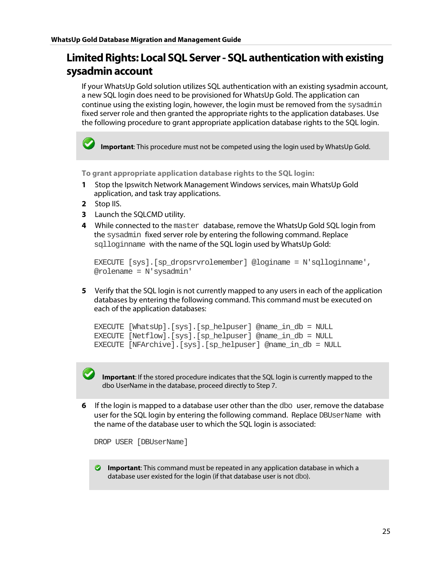### <span id="page-25-0"></span>**Limited Rights: Local SQL Server - SQL authentication with existing sysadmin account**

If your WhatsUp Gold solution utilizes SQL authentication with an existing sysadmin account, a new SQL login does need to be provisioned for WhatsUp Gold. The application can continue using the existing login, however, the login must be removed from the sysadmin fixed server role and then granted the appropriate rights to the application databases. Use the following procedure to grant appropriate application database rights to the SQL login.

**Important**: This procedure must not be competed using the login used by WhatsUp Gold.

**To grant appropriate application database rights to the SQL login:**

- **1** Stop the Ipswitch Network Management Windows services, main WhatsUp Gold application, and task tray applications.
- **2** Stop IIS.
- **3** Launch the SQLCMD utility.
- **4** While connected to the master database, remove the WhatsUp Gold SQL login from the sysadmin fixed server role by entering the following command. Replace sqlloginname with the name of the SQL login used by WhatsUp Gold:

```
EXECUTE [sys].[sp_dropsrvrolemember] @loginame = N'sqlloginname', 
@rolename = N'sysadmin'
```
**5** Verify that the SQL login is not currently mapped to any users in each of the application databases by entering the following command. This command must be executed on each of the application databases:

```
EXECUTE [WhatsUp].[sys].[sp_helpuser] @name_in_db = NULL
EXECUTE [Netflow].[sys].[sp_helpuser] @name_in_db = NULL
EXECUTE [NFArchive].[sys].[sp_helpuser] @name_in_db = NULL
```
**Important**: If the stored procedure indicates that the SQL login is currently mapped to the dbo UserName in the database, proceed directly to Step 7.

**6** If the login is mapped to a database user other than the dbo user, remove the database user for the SQL login by entering the following command. Replace DBUserName with the name of the database user to which the SQL login is associated:

```
DROP USER [DBUserName]
```
**Important**: This command must be repeated in any application database in which a database user existed for the login (if that database user is not dbo).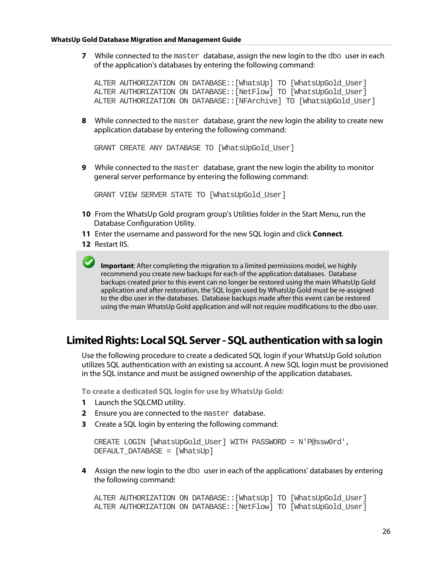**7** While connected to the master database, assign the new login to the dbo user in each of the application's databases by entering the following command:

```
ALTER AUTHORIZATION ON DATABASE::[WhatsUp] TO [WhatsUpGold_User]
ALTER AUTHORIZATION ON DATABASE::[NetFlow] TO [WhatsUpGold_User]
ALTER AUTHORIZATION ON DATABASE::[NFArchive] TO [WhatsUpGold_User]
```
**8** While connected to the master database, grant the new login the ability to create new application database by entering the following command:

GRANT CREATE ANY DATABASE TO [WhatsUpGold\_User]

**9** While connected to the master database, grant the new login the ability to monitor general server performance by entering the following command:

GRANT VIEW SERVER STATE TO [WhatsUpGold\_User]

- **10** From the WhatsUp Gold program group's Utilities folder in the Start Menu, run the Database Configuration Utility.
- **11** Enter the username and password for the new SQL login and click **Connect**.
- **12** Restart IIS.

**Important**: After completing the migration to a limited permissions model, we highly recommend you create new backups for each of the application databases. Database backups created prior to this event can no longer be restored using the main WhatsUp Gold application and after restoration, the SQL login used by WhatsUp Gold must be re-assigned to the dbo user in the databases. Database backups made after this event can be restored using the main WhatsUp Gold application and will not require modifications to the dbo user.

### <span id="page-26-0"></span>**Limited Rights: Local SQL Server - SQL authentication with sa login**

Use the following procedure to create a dedicated SQL login if your WhatsUp Gold solution utilizes SQL authentication with an existing sa account. A new SQL login must be provisioned in the SQL instance and must be assigned ownership of the application databases.

**To create a dedicated SQL login for use by WhatsUp Gold:**

- **1** Launch the SQLCMD utility.
- **2** Ensure you are connected to the master database.
- **3** Create a SQL login by entering the following command:

```
CREATE LOGIN [WhatsUpGold_User] WITH PASSWORD = N'P@ssw0rd', 
DEFAULT DATABASE = [WhatsUp]
```
**4** Assign the new login to the dbo user in each of the applications' databases by entering the following command:

```
ALTER AUTHORIZATION ON DATABASE::[WhatsUp] TO [WhatsUpGold_User]
ALTER AUTHORIZATION ON DATABASE::[NetFlow] TO [WhatsUpGold_User]
```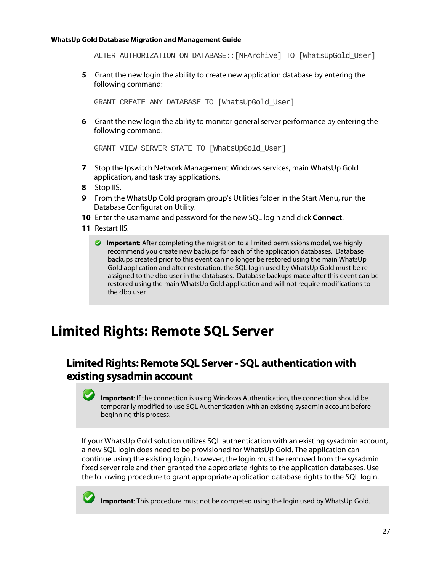ALTER AUTHORIZATION ON DATABASE::[NFArchive] TO [WhatsUpGold\_User]

**5** Grant the new login the ability to create new application database by entering the following command:

GRANT CREATE ANY DATABASE TO [WhatsUpGold\_User]

**6** Grant the new login the ability to monitor general server performance by entering the following command:

```
GRANT VIEW SERVER STATE TO [WhatsUpGold_User]
```
- **7** Stop the Ipswitch Network Management Windows services, main WhatsUp Gold application, and task tray applications.
- **8** Stop IIS.
- **9** From the WhatsUp Gold program group's Utilities folder in the Start Menu, run the Database Configuration Utility.
- **10** Enter the username and password for the new SQL login and click **Connect**.
- <span id="page-27-2"></span>**11** Restart IIS.
	- **Important**: After completing the migration to a limited permissions model, we highly recommend you create new backups for each of the application databases. Database backups created prior to this event can no longer be restored using the main WhatsUp Gold application and after restoration, the SQL login used by WhatsUp Gold must be reassigned to the dbo user in the databases. Database backups made after this event can be restored using the main WhatsUp Gold application and will not require modifications to the dbo user

### <span id="page-27-0"></span>**Limited Rights: Remote SQL Server**

### <span id="page-27-1"></span>**Limited Rights: Remote SQL Server - SQL authentication with existing sysadmin account**

**Important**: If the connection is using Windows Authentication, the connection should be temporarily modified to use SQL Authentication with an existing sysadmin account before beginning this process.

If your WhatsUp Gold solution utilizes SQL authentication with an existing sysadmin account, a new SQL login does need to be provisioned for WhatsUp Gold. The application can continue using the existing login, however, the login must be removed from the sysadmin fixed server role and then granted the appropriate rights to the application databases. Use the following procedure to grant appropriate application database rights to the SQL login.



**Important**: This procedure must not be competed using the login used by WhatsUp Gold.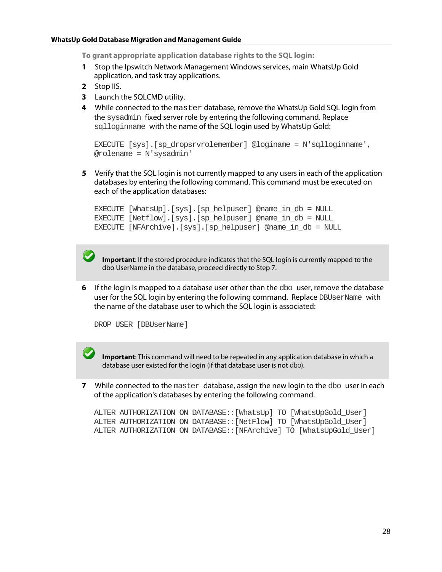**To grant appropriate application database rights to the SQL login:**

- **1** Stop the Ipswitch Network Management Windows services, main WhatsUp Gold application, and task tray applications.
- **2** Stop IIS.
- **3** Launch the SQLCMD utility.
- **4** While connected to the master database, remove the WhatsUp Gold SQL login from the sysadmin fixed server role by entering the following command. Replace sqlloginname with the name of the SQL login used by WhatsUp Gold:

```
EXECUTE [sys].[sp_dropsrvrolemember] @loginame = N'sqlloginname', 
@rolename = N'sysadmin'
```
**5** Verify that the SQL login is not currently mapped to any users in each of the application databases by entering the following command. This command must be executed on each of the application databases:

```
EXECUTE [WhatsUp].[sys].[sp_helpuser] @name_in_db = NULL
EXECUTE [Netflow].[sys].[sp_helpuser] @name_in_db = NULL
EXECUTE [NFArchive].[sys].[sp_helpuser] @name_in_db = NULL
```
**Important**: If the stored procedure indicates that the SQL login is currently mapped to the dbo UserName in the database, proceed directly to Step 7.

**6** If the login is mapped to a database user other than the dbo user, remove the database user for the SQL login by entering the following command. Replace DBUserName with the name of the database user to which the SQL login is associated:

```
DROP USER [DBUserName]
```
**Important**: This command will need to be repeated in any application database in which a database user existed for the login (if that database user is not dbo).

**7** While connected to the master database, assign the new login to the dbo user in each of the application's databases by entering the following command.

```
ALTER AUTHORIZATION ON DATABASE::[WhatsUp] TO [WhatsUpGold_User]
ALTER AUTHORIZATION ON DATABASE::[NetFlow] TO [WhatsUpGold_User]
ALTER AUTHORIZATION ON DATABASE::[NFArchive] TO [WhatsUpGold_User]
```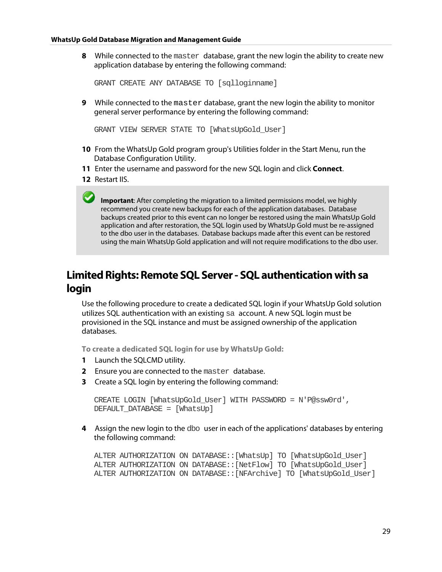**8** While connected to the master database, grant the new login the ability to create new application database by entering the following command:

GRANT CREATE ANY DATABASE TO [sqlloginname]

**9** While connected to the master database, grant the new login the ability to monitor general server performance by entering the following command:

GRANT VIEW SERVER STATE TO [WhatsUpGold\_User]

- **10** From the WhatsUp Gold program group's Utilities folder in the Start Menu, run the Database Configuration Utility.
- **11** Enter the username and password for the new SQL login and click **Connect**.
- **12** Restart IIS.

**Important**: After completing the migration to a limited permissions model, we highly recommend you create new backups for each of the application databases. Database backups created prior to this event can no longer be restored using the main WhatsUp Gold application and after restoration, the SQL login used by WhatsUp Gold must be re-assigned to the dbo user in the databases. Database backups made after this event can be restored using the main WhatsUp Gold application and will not require modifications to the dbo user.

### <span id="page-29-0"></span>**Limited Rights: Remote SQL Server - SQL authentication with sa login**

Use the following procedure to create a dedicated SQL login if your WhatsUp Gold solution utilizes SQL authentication with an existing sa account. A new SQL login must be provisioned in the SQL instance and must be assigned ownership of the application databases.

**To create a dedicated SQL login for use by WhatsUp Gold:**

- **1** Launch the SQLCMD utility.
- **2** Ensure you are connected to the master database.
- **3** Create a SQL login by entering the following command:

```
CREATE LOGIN [WhatsUpGold_User] WITH PASSWORD = N'P@ssw0rd', 
DEFAULT_DATABASE = [WhatsUp]
```
**4** Assign the new login to the dbo user in each of the applications' databases by entering the following command:

ALTER AUTHORIZATION ON DATABASE::[WhatsUp] TO [WhatsUpGold\_User] ALTER AUTHORIZATION ON DATABASE::[NetFlow] TO [WhatsUpGold\_User] ALTER AUTHORIZATION ON DATABASE::[NFArchive] TO [WhatsUpGold\_User]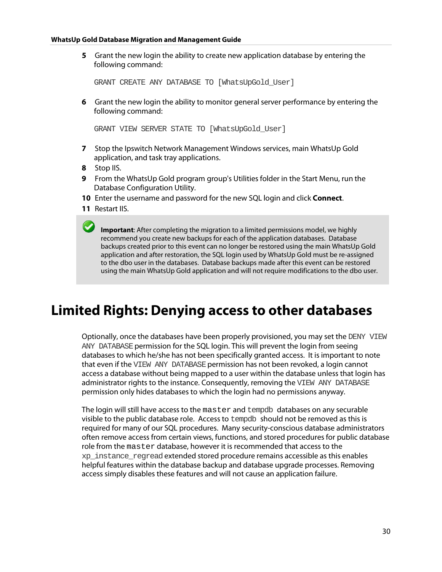**5** Grant the new login the ability to create new application database by entering the following command:

GRANT CREATE ANY DATABASE TO [WhatsUpGold\_User]

**6** Grant the new login the ability to monitor general server performance by entering the following command:

GRANT VIEW SERVER STATE TO [WhatsUpGold\_User]

- **7** Stop the Ipswitch Network Management Windows services, main WhatsUp Gold application, and task tray applications.
- **8** Stop IIS.
- **9** From the WhatsUp Gold program group's Utilities folder in the Start Menu, run the Database Configuration Utility.
- **10** Enter the username and password for the new SQL login and click **Connect**.
- **11** Restart IIS.

**Important**: After completing the migration to a limited permissions model, we highly recommend you create new backups for each of the application databases. Database backups created prior to this event can no longer be restored using the main WhatsUp Gold application and after restoration, the SQL login used by WhatsUp Gold must be re-assigned to the dbo user in the databases. Database backups made after this event can be restored using the main WhatsUp Gold application and will not require modifications to the dbo user.

### <span id="page-30-0"></span>**Limited Rights: Denying access to other databases**

Optionally, once the databases have been properly provisioned, you may set the DENY VIEW ANY DATABASE permission for the SQL login. This will prevent the login from seeing databases to which he/she has not been specifically granted access. It is important to note that even if the VIEW ANY DATABASE permission has not been revoked, a login cannot access a database without being mapped to a user within the database unless that login has administrator rights to the instance. Consequently, removing the VIEW ANY DATABASE permission only hides databases to which the login had no permissions anyway.

<span id="page-30-1"></span>The login will still have access to the master and tempdb databases on any securable visible to the public database role. Access to tempdb should not be removed as this is required for many of our SQL procedures. Many security-conscious database administrators often remove access from certain views, functions, and stored procedures for public database role from the master database, however it is recommended that access to the xp\_instance\_regreadextended stored procedure remains accessible as this enables helpful features within the database backup and database upgrade processes. Removing access simply disables these features and will not cause an application failure.